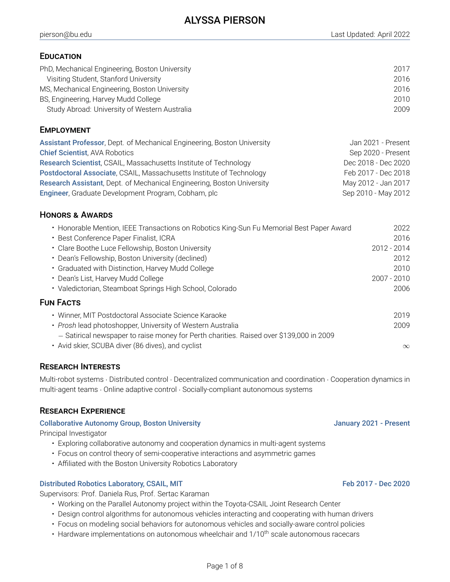pierson@bu.edu

## **EDUCATION**

| 2017 |
|------|
| 2016 |
| 2016 |
| 2010 |
| 2009 |
|      |

## **EMPLOYMENT**

| Assistant Professor, Dept. of Mechanical Engineering, Boston University | Jan 2021 - Present  |
|-------------------------------------------------------------------------|---------------------|
| <b>Chief Scientist, AVA Robotics</b>                                    | Sep 2020 - Present  |
| <b>Research Scientist, CSAIL, Massachusetts Institute of Technology</b> | Dec 2018 - Dec 2020 |
| Postdoctoral Associate, CSAIL, Massachusetts Institute of Technology    | Feb 2017 - Dec 2018 |
| Research Assistant, Dept. of Mechanical Engineering, Boston University  | May 2012 - Jan 2017 |
| <b>Engineer, Graduate Development Program, Cobham, plc</b>              | Sep 2010 - May 2012 |

## **HONORS & AWARDS**

| • Honorable Mention, IEEE Transactions on Robotics King-Sun Fu Memorial Best Paper Award | 2022          |
|------------------------------------------------------------------------------------------|---------------|
| • Best Conference Paper Finalist, ICRA                                                   | 2016          |
| • Clare Boothe Luce Fellowship, Boston University                                        | 2012 - 2014   |
| • Dean's Fellowship, Boston University (declined)                                        | 2012          |
| • Graduated with Distinction, Harvey Mudd College                                        | 2010          |
| · Dean's List, Harvey Mudd College                                                       | $2007 - 2010$ |
| • Valedictorian, Steamboat Springs High School, Colorado                                 | 2006          |
| <b>FUN FACTS</b>                                                                         |               |
| • Winner, MIT Postdoctoral Associate Science Karaoke                                     | 2019          |
| • Prosh lead photoshopper, University of Western Australia                               | 2009          |
| - Satirical newspaper to raise money for Perth charities. Raised over \$139,000 in 2009  |               |
| • Avid skier, SCUBA diver (86 dives), and cyclist                                        | $\infty$      |
|                                                                                          |               |

## RESEARCH INTERESTS

Multi-robot systems *·* Distributed control *·* Decentralized communication and coordination *·* Cooperation dynamics in multi-agent teams *·* Online adaptive control *·* Socially-compliant autonomous systems

## RESEARCH EXPERIENCE

Collaborative Autonomy Group, Boston University **State Automobia Collaborative Autonomy Group, Boston University** 

Principal Investigator

- Exploring collaborative autonomy and cooperation dynamics in multi-agent systems
- Focus on control theory of semi-cooperative interactions and asymmetric games
- Affiliated with the Boston University Robotics Laboratory

## Distributed Robotics Laboratory, CSAIL, MIT **Feb 2017** - Dec 2020

Supervisors: Prof. Daniela Rus, Prof. Sertac Karaman

- Working on the Parallel Autonomy project within the Toyota-CSAIL Joint Research Center
- Design control algorithms for autonomous vehicles interacting and cooperating with human drivers
- Focus on modeling social behaviors for autonomous vehicles and socially-aware control policies
- $\cdot$  Hardware implementations on autonomous wheelchair and  $1/10^{th}$  scale autonomous racecars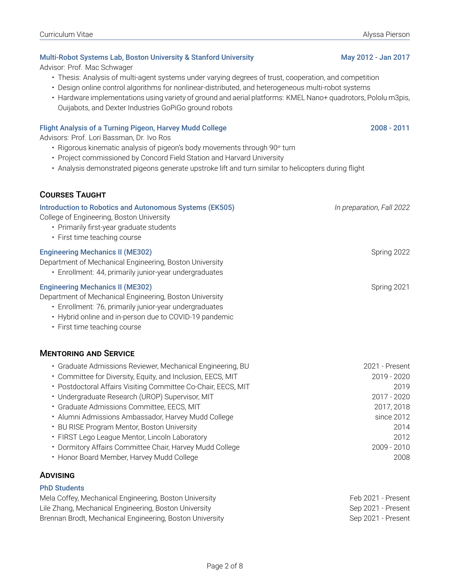## Multi-Robot Systems Lab, Boston University & Stanford University May 2012 - Jan 2017

Advisor: Prof. Mac Schwager

- Thesis: Analysis of multi-agent systems under varying degrees of trust, cooperation, and competition
- Design online control algorithms for nonlinear-distributed, and heterogeneous multi-robot systems
- Hardware implementations using variety of ground and aerial platforms: KMEL Nano+ quadrotors, Pololu m3pis, Ouijabots, and Dexter Industries GoPiGo ground robots

## Flight Analysis of a Turning Pigeon, Harvey Mudd College 2008 - 2011

Advisors: Prof. Lori Bassman, Dr. Ivo Ros

- Rigorous kinematic analysis of pigeon's body movements through 90*<sup>o</sup>* turn
- Project commissioned by Concord Field Station and Harvard University
- Analysis demonstrated pigeons generate upstroke lift and turn similar to helicopters during flight

## COURSES TAUGHT

| <b>Introduction to Robotics and Autonomous Systems (EK505)</b><br>College of Engineering, Boston University<br>• Primarily first-year graduate students<br>• First time teaching course                                                                                                                                                                                                                                                                                                                                                                      | In preparation, Fall 2022                                                                                               |
|--------------------------------------------------------------------------------------------------------------------------------------------------------------------------------------------------------------------------------------------------------------------------------------------------------------------------------------------------------------------------------------------------------------------------------------------------------------------------------------------------------------------------------------------------------------|-------------------------------------------------------------------------------------------------------------------------|
| <b>Engineering Mechanics II (ME302)</b><br>Department of Mechanical Engineering, Boston University<br>· Enrollment: 44, primarily junior-year undergraduates                                                                                                                                                                                                                                                                                                                                                                                                 | Spring 2022                                                                                                             |
| <b>Engineering Mechanics II (ME302)</b><br>Department of Mechanical Engineering, Boston University<br>· Enrollment: 76, primarily junior-year undergraduates<br>• Hybrid online and in-person due to COVID-19 pandemic<br>• First time teaching course                                                                                                                                                                                                                                                                                                       | Spring 2021                                                                                                             |
| <b>MENTORING AND SERVICE</b>                                                                                                                                                                                                                                                                                                                                                                                                                                                                                                                                 |                                                                                                                         |
| · Graduate Admissions Reviewer, Mechanical Engineering, BU<br>• Committee for Diversity, Equity, and Inclusion, EECS, MIT<br>• Postdoctoral Affairs Visiting Committee Co-Chair, EECS, MIT<br>· Undergraduate Research (UROP) Supervisor, MIT<br>· Graduate Admissions Committee, EECS, MIT<br>• Alumni Admissions Ambassador, Harvey Mudd College<br>• BU RISE Program Mentor, Boston University<br>· FIRST Lego League Mentor, Lincoln Laboratory<br>• Dormitory Affairs Committee Chair, Harvey Mudd College<br>• Honor Board Member, Harvey Mudd College | 2021 - Present<br>2019 - 2020<br>2019<br>2017 - 2020<br>2017, 2018<br>since 2012<br>2014<br>2012<br>2009 - 2010<br>2008 |
| <b>ADVISING</b>                                                                                                                                                                                                                                                                                                                                                                                                                                                                                                                                              |                                                                                                                         |
| <b>PhD Students</b>                                                                                                                                                                                                                                                                                                                                                                                                                                                                                                                                          |                                                                                                                         |

Mela Coffey, Mechanical Engineering, Boston University Feb 2021 - Present Lile Zhang, Mechanical Engineering, Boston University Sep 2021 - Present Brennan Brodt, Mechanical Engineering, Boston University Sep 2021 - Present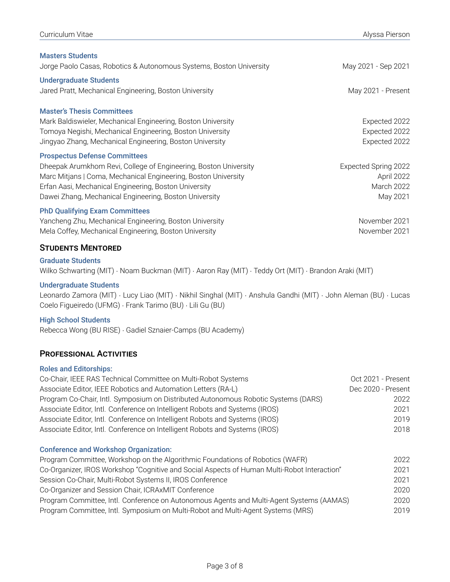| Curriculum Vitae                                                                                                                                                                                                                                                                                                                                                                                                                                                                                                                | Alyssa Pierson                                                           |
|---------------------------------------------------------------------------------------------------------------------------------------------------------------------------------------------------------------------------------------------------------------------------------------------------------------------------------------------------------------------------------------------------------------------------------------------------------------------------------------------------------------------------------|--------------------------------------------------------------------------|
| <b>Masters Students</b>                                                                                                                                                                                                                                                                                                                                                                                                                                                                                                         |                                                                          |
| Jorge Paolo Casas, Robotics & Autonomous Systems, Boston University                                                                                                                                                                                                                                                                                                                                                                                                                                                             | May 2021 - Sep 2021                                                      |
| <b>Undergraduate Students</b><br>Jared Pratt, Mechanical Engineering, Boston University                                                                                                                                                                                                                                                                                                                                                                                                                                         | May 2021 - Present                                                       |
| <b>Master's Thesis Committees</b><br>Mark Baldiswieler, Mechanical Engineering, Boston University<br>Tomoya Negishi, Mechanical Engineering, Boston University<br>Jingyao Zhang, Mechanical Engineering, Boston University                                                                                                                                                                                                                                                                                                      | Expected 2022<br>Expected 2022<br>Expected 2022                          |
| <b>Prospectus Defense Committees</b><br>Dheepak Arumkhom Revi, College of Engineering, Boston University<br>Marc Mitjans   Coma, Mechanical Engineering, Boston University<br>Erfan Aasi, Mechanical Engineering, Boston University<br>Dawei Zhang, Mechanical Engineering, Boston University                                                                                                                                                                                                                                   | Expected Spring 2022<br>April 2022<br>March 2022<br>May 2021             |
| <b>PhD Qualifying Exam Committees</b><br>Yancheng Zhu, Mechanical Engineering, Boston University<br>Mela Coffey, Mechanical Engineering, Boston University                                                                                                                                                                                                                                                                                                                                                                      | November 2021<br>November 2021                                           |
| <b>STUDENTS MENTORED</b>                                                                                                                                                                                                                                                                                                                                                                                                                                                                                                        |                                                                          |
| <b>Graduate Students</b><br>Wilko Schwarting (MIT) · Noam Buckman (MIT) · Aaron Ray (MIT) · Teddy Ort (MIT) · Brandon Araki (MIT)                                                                                                                                                                                                                                                                                                                                                                                               |                                                                          |
| <b>Undergraduate Students</b><br>Leonardo Zamora (MIT) · Lucy Liao (MIT) · Nikhil Singhal (MIT) · Anshula Gandhi (MIT) · John Aleman (BU) · Lucas<br>Coelo Figueiredo (UFMG) · Frank Tarimo (BU) · Lili Gu (BU)                                                                                                                                                                                                                                                                                                                 |                                                                          |
| <b>High School Students</b><br>Rebecca Wong (BU RISE) · Gadiel Sznaier-Camps (BU Academy)                                                                                                                                                                                                                                                                                                                                                                                                                                       |                                                                          |
| <b>PROFESSIONAL ACTIVITIES</b>                                                                                                                                                                                                                                                                                                                                                                                                                                                                                                  |                                                                          |
| <b>Roles and Editorships:</b><br>Co-Chair, IEEE RAS Technical Committee on Multi-Robot Systems<br>Associate Editor, IEEE Robotics and Automation Letters (RA-L)<br>Program Co-Chair, Intl. Symposium on Distributed Autonomous Robotic Systems (DARS)<br>Associate Editor, Intl. Conference on Intelligent Robots and Systems (IROS)<br>Associate Editor, Intl. Conference on Intelligent Robots and Systems (IROS)<br>Associate Editor, Intl. Conference on Intelligent Robots and Systems (IROS)                              | Oct 2021 - Present<br>Dec 2020 - Present<br>2022<br>2021<br>2019<br>2018 |
| <b>Conference and Workshop Organization:</b><br>Program Committee, Workshop on the Algorithmic Foundations of Robotics (WAFR)<br>Co-Organizer, IROS Workshop "Cognitive and Social Aspects of Human Multi-Robot Interaction"<br>Session Co-Chair, Multi-Robot Systems II, IROS Conference<br>Co-Organizer and Session Chair, ICRAxMIT Conference<br>Program Committee, Intl. Conference on Autonomous Agents and Multi-Agent Systems (AAMAS)<br>Program Committee, Intl. Symposium on Multi-Robot and Multi-Agent Systems (MRS) | 2022<br>2021<br>2021<br>2020<br>2020<br>2019                             |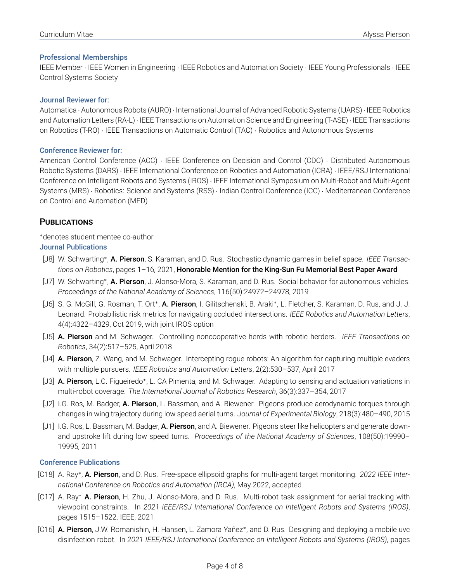## Professional Memberships

IEEE Member *·* IEEE Women in Engineering *·* IEEE Robotics and Automation Society *·* IEEE Young Professionals *·* IEEE Control Systems Society

## Journal Reviewer for:

Automatica *·* Autonomous Robots (AURO)*·* International Journal of Advanced Robotic Systems (IJARS) *·* IEEE Robotics and Automation Letters (RA-L) *·* IEEE Transactions on Automation Science and Engineering (T-ASE) *·* IEEE Transactions on Robotics (T-RO) *·* IEEE Transactions on Automatic Control (TAC) *·* Robotics and Autonomous Systems

## Conference Reviewer for:

American Control Conference (ACC) *·* IEEE Conference on Decision and Control (CDC) *·* Distributed Autonomous Robotic Systems (DARS) *·* IEEE International Conference on Robotics and Automation (ICRA) *·* IEEE/RSJ International Conference on Intelligent Robots and Systems (IROS) *·* IEEE International Symposium on Multi-Robot and Multi-Agent Systems (MRS) *·* Robotics: Science and Systems (RSS) *·* Indian Control Conference (ICC) *·* Mediterranean Conference on Control and Automation (MED)

## **PUBLICATIONS**

*<sup>∗</sup>*denotes student mentee co-author Journal Publications

- [J8] W. Schwarting*<sup>∗</sup>* , A. Pierson, S. Karaman, and D. Rus. Stochastic dynamic games in belief space. *IEEE Transactions on Robotics*, pages 1–16, 2021, Honorable Mention for the King-Sun Fu Memorial Best Paper Award
- [J7] W. Schwarting*<sup>∗</sup>* , A. Pierson, J. Alonso-Mora, S. Karaman, and D. Rus. Social behavior for autonomous vehicles. *Proceedings of the National Academy of Sciences*, 116(50):24972–24978, 2019
- [J6] S. G. McGill, G. Rosman, T. Ort*<sup>∗</sup>* , A. Pierson, I. Gilitschenski, B. Araki*<sup>∗</sup>* , L. Fletcher, S. Karaman, D. Rus, and J. J. Leonard. Probabilistic risk metrics for navigating occluded intersections. *IEEE Robotics and Automation Letters*, 4(4):4322–4329, Oct 2019, with joint IROS option
- [J5] A. Pierson and M. Schwager. Controlling noncooperative herds with robotic herders. *IEEE Transactions on Robotics*, 34(2):517–525, April 2018
- [J4] A. Pierson, Z. Wang, and M. Schwager. Intercepting rogue robots: An algorithm for capturing multiple evaders with multiple pursuers. *IEEE Robotics and Automation Letters*, 2(2):530–537, April 2017
- [J3] A. Pierson, L.C. Figueiredo*<sup>∗</sup>* , L. CA Pimenta, and M. Schwager. Adapting to sensing and actuation variations in multi-robot coverage. *The International Journal of Robotics Research*, 36(3):337–354, 2017
- [J2] I.G. Ros, M. Badger, A. Pierson, L. Bassman, and A. Biewener. Pigeons produce aerodynamic torques through changes in wing trajectory during low speed aerial turns. *Journal of Experimental Biology*, 218(3):480–490, 2015
- [J1] I.G. Ros, L. Bassman, M. Badger, A. Pierson, and A. Biewener. Pigeons steer like helicopters and generate downand upstroke lift during low speed turns. *Proceedings of the National Academy of Sciences*, 108(50):19990– 19995, 2011

## Conference Publications

- [C18] A. Ray*<sup>∗</sup>* , A. Pierson, and D. Rus. Free-space ellipsoid graphs for multi-agent target monitoring. *2022 IEEE International Conference on Robotics and Automation (IRCA)*, May 2022, accepted
- [C17] A. Ray*<sup>∗</sup>* A. Pierson, H. Zhu, J. Alonso-Mora, and D. Rus. Multi-robot task assignment for aerial tracking with viewpoint constraints. In *2021 IEEE/RSJ International Conference on Intelligent Robots and Systems (IROS)*, pages 1515–1522. IEEE, 2021
- [C16] A. Pierson, J.W. Romanishin, H. Hansen, L. Zamora Yañez*<sup>∗</sup>* , and D. Rus. Designing and deploying a mobile uvc disinfection robot. In *2021 IEEE/RSJ International Conference on Intelligent Robots and Systems (IROS)*, pages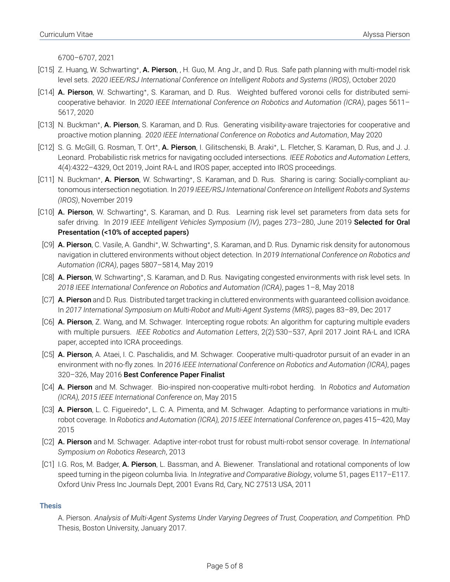6700–6707, 2021

- [C15] Z. Huang, W. Schwarting*∗* , A. Pierson, , H. Guo, M. Ang Jr., and D. Rus. Safe path planning with multi-model risk level sets. *2020 IEEE/RSJ International Conference on Intelligent Robots and Systems (IROS)*, October 2020
- [C14] A. Pierson, W. Schwarting*∗* , S. Karaman, and D. Rus. Weighted buffered voronoi cells for distributed semicooperative behavior. In *2020 IEEE International Conference on Robotics and Automation (ICRA)*, pages 5611– 5617, 2020
- [C13] N. Buckman*∗* , A. Pierson, S. Karaman, and D. Rus. Generating visibility-aware trajectories for cooperative and proactive motion planning. *2020 IEEE International Conference on Robotics and Automation*, May 2020
- [C12] S. G. McGill, G. Rosman, T. Ort\*, **A. Pierson**, I. Gilitschenski, B. Araki\*, L. Fletcher, S. Karaman, D. Rus, and J. J. Leonard. Probabilistic risk metrics for navigating occluded intersections. *IEEE Robotics and Automation Letters*, 4(4):4322–4329, Oct 2019, Joint RA-L and IROS paper, accepted into IROS proceedings.
- [C11] N. Buckman*∗* , A. Pierson, W. Schwarting*∗* , S. Karaman, and D. Rus. Sharing is caring: Socially-compliant autonomous intersection negotiation. In *2019 IEEE/RSJ International Conference on Intelligent Robots and Systems (IROS)*, November 2019
- [C10] A. Pierson, W. Schwarting*<sup>∗</sup>* , S. Karaman, and D. Rus. Learning risk level set parameters from data sets for safer driving. In 2019 IEEE Intelligent Vehicles Symposium (IV), pages 273-280, June 2019 **Selected for Oral** Presentation (<10% of accepted papers)
- [C9] A. Pierson, C. Vasile, A. Gandhi*<sup>∗</sup>* , W. Schwarting*<sup>∗</sup>* , S. Karaman, and D. Rus. Dynamic risk density for autonomous navigation in cluttered environments without object detection. In *2019 International Conference on Robotics and Automation (ICRA)*, pages 5807–5814, May 2019
- [C8] **A. Pierson**, W. Schwarting\*, S. Karaman, and D. Rus. Navigating congested environments with risk level sets. In *2018 IEEE International Conference on Robotics and Automation (ICRA)*, pages 1–8, May 2018
- [C7] A. Pierson and D. Rus. Distributed target tracking in cluttered environments with guaranteed collision avoidance. In *2017 International Symposium on Multi-Robot and Multi-Agent Systems (MRS)*, pages 83–89, Dec 2017
- [C6] A. Pierson, Z. Wang, and M. Schwager. Intercepting rogue robots: An algorithm for capturing multiple evaders with multiple pursuers. *IEEE Robotics and Automation Letters*, 2(2):530–537, April 2017 Joint RA-L and ICRA paper, accepted into ICRA proceedings.
- [C5] A. Pierson, A. Ataei, I. C. Paschalidis, and M. Schwager. Cooperative multi-quadrotor pursuit of an evader in an environment with no-fly zones. In *2016 IEEE International Conference on Robotics and Automation (ICRA)*, pages 320–326, May 2016 Best Conference Paper Finalist
- [C4] A. Pierson and M. Schwager. Bio-inspired non-cooperative multi-robot herding. In *Robotics and Automation (ICRA), 2015 IEEE International Conference on*, May 2015
- [C3] **A. Pierson**, L. C. Figueiredo\*, L. C. A. Pimenta, and M. Schwager. Adapting to performance variations in multirobot coverage. In *Robotics and Automation (ICRA), 2015 IEEE International Conference on*, pages 415–420, May 2015
- [C2] A. Pierson and M. Schwager. Adaptive inter-robot trust for robust multi-robot sensor coverage. In *International Symposium on Robotics Research*, 2013
- [C1] I.G. Ros, M. Badger, A. Pierson, L. Bassman, and A. Biewener. Translational and rotational components of low speed turning in the pigeon columba livia. In *Integrative and Comparative Biology*, volume 51, pages E117–E117. Oxford Univ Press Inc Journals Dept, 2001 Evans Rd, Cary, NC 27513 USA, 2011

## Thesis

A. Pierson. *Analysis of Multi-Agent Systems Under Varying Degrees of Trust, Cooperation, and Competition.* PhD Thesis, Boston University, January 2017.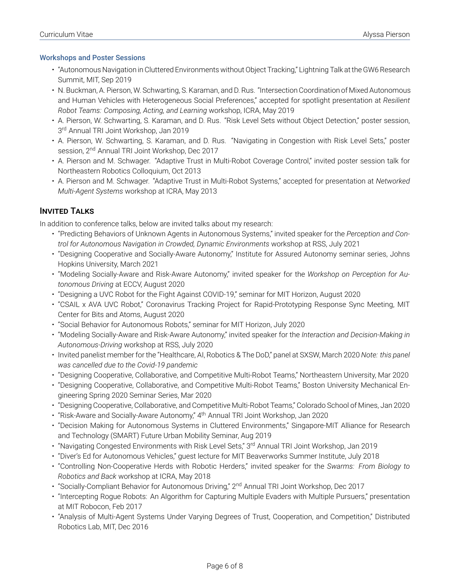## Workshops and Poster Sessions

- "Autonomous Navigation in Cluttered Environments without Object Tracking," Lightning Talk at the GW6 Research Summit, MIT, Sep 2019
- N. Buckman, A. Pierson, W. Schwarting, S. Karaman, and D. Rus. "Intersection Coordination of Mixed Autonomous and Human Vehicles with Heterogeneous Social Preferences," accepted for spotlight presentation at *Resilient Robot Teams: Composing, Acting, and Learning* workshop, ICRA, May 2019
- A. Pierson, W. Schwarting, S. Karaman, and D. Rus. "Risk Level Sets without Object Detection," poster session, 3 rd Annual TRI Joint Workshop, Jan 2019
- A. Pierson, W. Schwarting, S. Karaman, and D. Rus. "Navigating in Congestion with Risk Level Sets," poster session, 2<sup>nd</sup> Annual TRI Joint Workshop, Dec 2017
- A. Pierson and M. Schwager. "Adaptive Trust in Multi-Robot Coverage Control," invited poster session talk for Northeastern Robotics Colloquium, Oct 2013
- A. Pierson and M. Schwager. "Adaptive Trust in Multi-Robot Systems," accepted for presentation at *Networked Multi-Agent Systems* workshop at ICRA, May 2013

## **INVITED TALKS**

In addition to conference talks, below are invited talks about my research:

- "Predicting Behaviors of Unknown Agents in Autonomous Systems," invited speaker for the *Perception and Control for Autonomous Navigation in Crowded, Dynamic Environments* workshop at RSS, July 2021
- "Designing Cooperative and Socially-Aware Autonomy," Institute for Assured Autonomy seminar series, Johns Hopkins University, March 2021
- "Modeling Socially-Aware and Risk-Aware Autonomy," invited speaker for the *Workshop on Perception for Autonomous Driving* at ECCV, August 2020
- "Designing a UVC Robot for the Fight Against COVID-19," seminar for MIT Horizon, August 2020
- "CSAIL x AVA UVC Robot," Coronavirus Tracking Project for Rapid-Prototyping Response Sync Meeting, MIT Center for Bits and Atoms, August 2020
- "Social Behavior for Autonomous Robots," seminar for MIT Horizon, July 2020
- "Modeling Socially-Aware and Risk-Aware Autonomy," invited speaker for the *Interaction and Decision-Making in Autonomous-Driving* workshop at RSS, July 2020
- Invited panelist member for the "Healthcare, AI, Robotics & The DoD," panel at SXSW, March 2020 *Note: this panel was cancelled due to the Covid-19 pandemic*
- "Designing Cooperative, Collaborative, and Competitive Multi-Robot Teams," Northeastern University, Mar 2020
- "Designing Cooperative, Collaborative, and Competitive Multi-Robot Teams," Boston University Mechanical Engineering Spring 2020 Seminar Series, Mar 2020
- "Designing Cooperative, Collaborative, and Competitive Multi-Robot Teams," Colorado School of Mines, Jan 2020
- "Risk-Aware and Socially-Aware Autonomy," 4th Annual TRI Joint Workshop, Jan 2020
- "Decision Making for Autonomous Systems in Cluttered Environments," Singapore-MIT Alliance for Research and Technology (SMART) Future Urban Mobility Seminar, Aug 2019
- "Navigating Congested Environments with Risk Level Sets," 3<sup>rd</sup> Annual TRI Joint Workshop, Jan 2019
- "Diver's Ed for Autonomous Vehicles," guest lecture for MIT Beaverworks Summer Institute, July 2018
- "Controlling Non-Cooperative Herds with Robotic Herders," invited speaker for the *Swarms: From Biology to Robotics and Back* workshop at ICRA, May 2018
- "Socially-Compliant Behavior for Autonomous Driving," 2nd Annual TRI Joint Workshop, Dec 2017
- "Intercepting Rogue Robots: An Algorithm for Capturing Multiple Evaders with Multiple Pursuers," presentation at MIT Robocon, Feb 2017
- "Analysis of Multi-Agent Systems Under Varying Degrees of Trust, Cooperation, and Competition," Distributed Robotics Lab, MIT, Dec 2016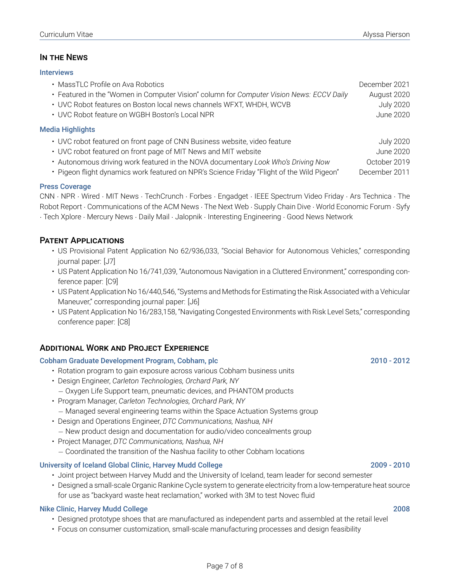## IN THE NEWS

#### **Interviews**

| • MassTLC Profile on Ava Robotics                                                          | December 2021    |
|--------------------------------------------------------------------------------------------|------------------|
| • Featured in the "Women in Computer Vision" column for Computer Vision News: ECCV Daily   | August 2020      |
| • UVC Robot features on Boston local news channels WFXT, WHDH, WCVB                        | <b>July 2020</b> |
| • UVC Robot feature on WGBH Boston's Local NPR                                             | June 2020        |
| <b>Media Highlights</b>                                                                    |                  |
| • UVC robot featured on front page of CNN Business website, video feature                  | <b>July 2020</b> |
| • UVC robot featured on front page of MIT News and MIT website                             | June 2020        |
| • Autonomous driving work featured in the NOVA documentary Look Who's Driving Now          | October 2019     |
| • Pigeon flight dynamics work featured on NPR's Science Friday "Flight of the Wild Pigeon" | December 2011    |
|                                                                                            |                  |

#### Press Coverage

CNN *·* NPR *·* Wired *·* MIT News *·* TechCrunch *·* Forbes *·* Engadget *·* IEEE Spectrum Video Friday *·* Ars Technica *·* The Robot Report *·* Communications of the ACM News *·* The Next Web *·* Supply Chain Dive *·* World Economic Forum *·* Syfy *·* Tech Xplore *·* Mercury News *·* Daily Mail *·* Jalopnik *·* Interesting Engineering *·* Good News Network

## PATENT APPLICATIONS

- US Provisional Patent Application No 62/936,033, "Social Behavior for Autonomous Vehicles," corresponding journal paper: [J7]
- US Patent Application No 16/741,039, "Autonomous Navigation in a Cluttered Environment," corresponding conference paper: [C9]
- US Patent Application No 16/440,546, "Systems and Methods for Estimating the Risk Associated with a Vehicular Maneuver," corresponding journal paper: [J6]
- US Patent Application No 16/283,158, "Navigating Congested Environments with Risk Level Sets," corresponding conference paper: [C8]

## **ADDITIONAL WORK AND PROJECT EXPERIENCE**

## Cobham Graduate Development Program, Cobham, plc 2010 - 2012

- Rotation program to gain exposure across various Cobham business units
- Design Engineer, *Carleton Technologies, Orchard Park, NY*
	- *−* Oxygen Life Support team, pneumatic devices, and PHANTOM products
- Program Manager, *Carleton Technologies, Orchard Park, NY −* Managed several engineering teams within the Space Actuation Systems group
- Design and Operations Engineer, *DTC Communications, Nashua, NH*
	- *−* New product design and documentation for audio/video concealments group
- Project Manager, *DTC Communications, Nashua, NH*
	- *−* Coordinated the transition of the Nashua facility to other Cobham locations

## University of Iceland Global Clinic, Harvey Mudd College 2009 - 2010 2009 - 2010

- Joint project between Harvey Mudd and the University of Iceland, team leader for second semester
- Designed a small-scale Organic Rankine Cycle system to generate electricity from a low-temperature heat source for use as "backyard waste heat reclamation," worked with 3M to test Novec fluid

## Nike Clinic, Harvey Mudd College 2008

- Designed prototype shoes that are manufactured as independent parts and assembled at the retail level
- Focus on consumer customization, small-scale manufacturing processes and design feasibility

# Page 7 of 8